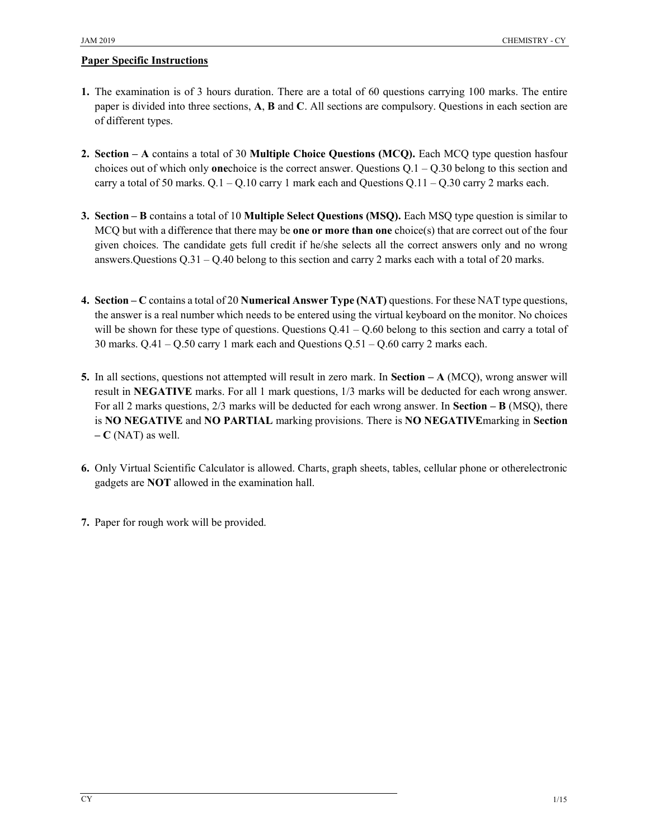#### Paper Specific Instructions

- 1. The examination is of 3 hours duration. There are a total of 60 questions carrying 100 marks. The entire paper is divided into three sections, A, B and C. All sections are compulsory. Questions in each section are of different types.
- 2. Section A contains a total of 30 Multiple Choice Questions (MCQ). Each MCQ type question hasfour choices out of which only **one**choice is the correct answer. Questions  $Q.1 - Q.30$  belong to this section and carry a total of 50 marks.  $Q.1 - Q.10$  carry 1 mark each and Questions  $Q.11 - Q.30$  carry 2 marks each.
- 3. Section B contains a total of 10 Multiple Select Questions (MSQ). Each MSQ type question is similar to MCQ but with a difference that there may be **one or more than one** choice(s) that are correct out of the four given choices. The candidate gets full credit if he/she selects all the correct answers only and no wrong answers.Questions  $Q.31 - Q.40$  belong to this section and carry 2 marks each with a total of 20 marks.
- 4. Section C contains a total of 20 Numerical Answer Type (NAT) questions. For these NAT type questions, the answer is a real number which needs to be entered using the virtual keyboard on the monitor. No choices will be shown for these type of questions. Questions  $Q.41 - Q.60$  belong to this section and carry a total of 30 marks. Q.41 – Q.50 carry 1 mark each and Questions Q.51 – Q.60 carry 2 marks each.
- 5. In all sections, questions not attempted will result in zero mark. In Section  $-A$  (MCQ), wrong answer will result in NEGATIVE marks. For all 1 mark questions, 1/3 marks will be deducted for each wrong answer. For all 2 marks questions, 2/3 marks will be deducted for each wrong answer. In Section – B (MSQ), there is NO NEGATIVE and NO PARTIAL marking provisions. There is NO NEGATIVEmarking in Section  $-C$  (NAT) as well.
- 6. Only Virtual Scientific Calculator is allowed. Charts, graph sheets, tables, cellular phone or otherelectronic gadgets are NOT allowed in the examination hall.
- 7. Paper for rough work will be provided.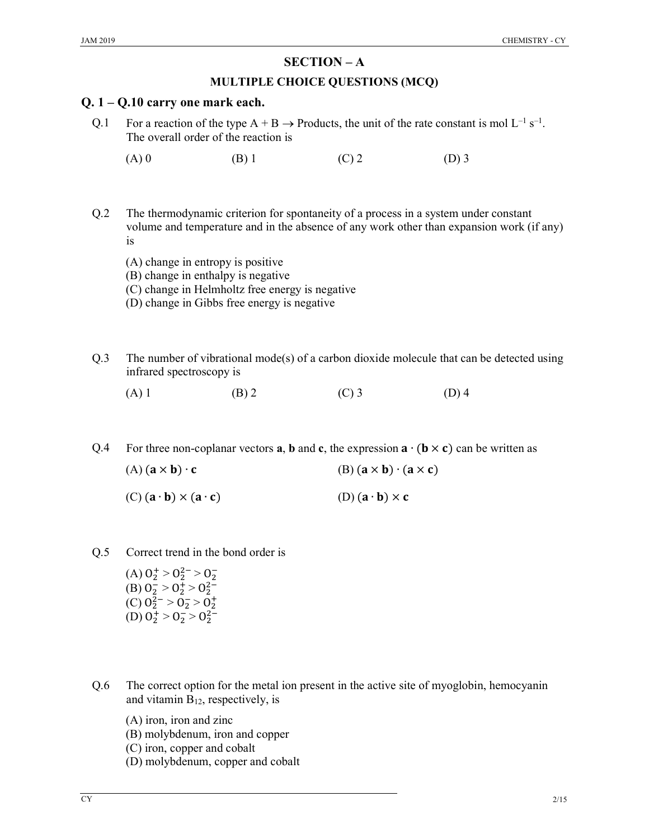# SECTION – A

### MULTIPLE CHOICE QUESTIONS (MCQ)

# Q. 1 – Q.10 carry one mark each.

- Q.1 For a reaction of the type  $A + B \rightarrow$  Products, the unit of the rate constant is mol  $L^{-1} s^{-1}$ . The overall order of the reaction is
	- (A) 0 (B) 1 (C) 2 (D) 3
- Q.2 The thermodynamic criterion for spontaneity of a process in a system under constant volume and temperature and in the absence of any work other than expansion work (if any) is
	- (A) change in entropy is positive
	- (B) change in enthalpy is negative
	- (C) change in Helmholtz free energy is negative
	- (D) change in Gibbs free energy is negative
- Q.3 The number of vibrational mode(s) of a carbon dioxide molecule that can be detected using infrared spectroscopy is
	- (A) 1 (B) 2 (C) 3 (D) 4
- Q.4 For three non-coplanar vectors **a**, **b** and **c**, the expression  $\mathbf{a} \cdot (\mathbf{b} \times \mathbf{c})$  can be written as

| $(A) (a \times b) \cdot c$                                                 | $(B)$ $(a \times b) \cdot (a \times c)$                 |
|----------------------------------------------------------------------------|---------------------------------------------------------|
| $(C)$ $(\mathbf{a} \cdot \mathbf{b}) \times (\mathbf{a} \cdot \mathbf{c})$ | $(D)$ $(\mathbf{a} \cdot \mathbf{b}) \times \mathbf{c}$ |

- Q.5 Correct trend in the bond order is
	- (A)  $0^+_2 > 0^2_- > 0^-_2$ (B)  $0^{-}_{2} > 0^{+}_{2} > 0^{2-}_{2}$ (C)  $0_2^{2-} > 0_2^- > 0_2^+$ (D)  $0^+_2 > 0^-_2 > 0^2_2$ <sup>-</sup>
- Q.6 The correct option for the metal ion present in the active site of myoglobin, hemocyanin and vitamin  $B_{12}$ , respectively, is
	- (A) iron, iron and zinc
	- (B) molybdenum, iron and copper
	- (C) iron, copper and cobalt
	- (D) molybdenum, copper and cobalt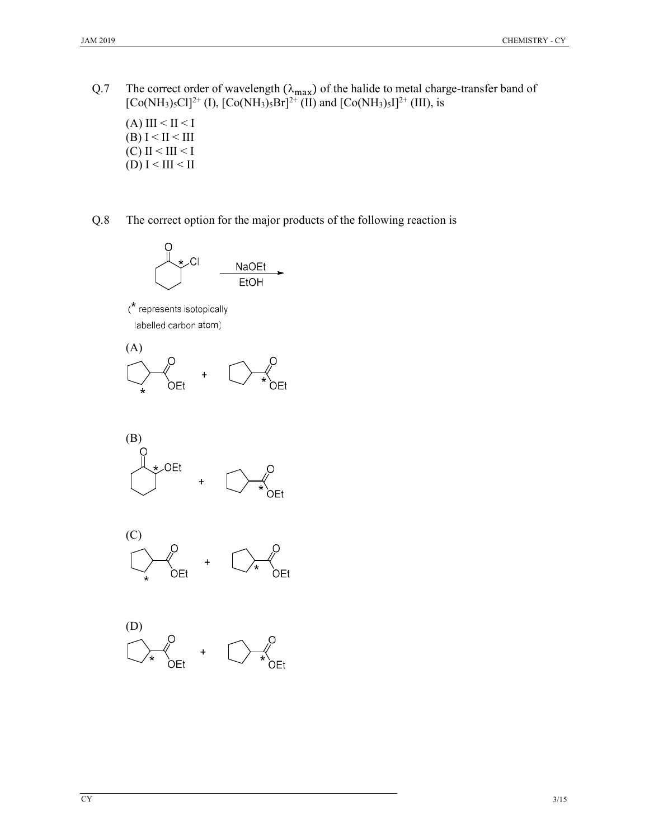Q.7 The correct order of wavelength  $(\lambda_{max})$  of the halide to metal charge-transfer band of  $[Co(NH<sub>3</sub>)<sub>5</sub>Cl]<sup>2+</sup> (I), [Co(NH<sub>3</sub>)<sub>5</sub>Br]<sup>2+</sup> (II) and [Co(NH<sub>3</sub>)<sub>5</sub>I]<sup>2+</sup> (III), is$ 

(A) III  $\leq$  II  $\leq$  I (B)  $I < II < III$  $(C)$  II < III < I (D)  $I < III < II$ 

Q.8 The correct option for the major products of the following reaction is



 $(*$  represents isotopically labelled carbon atom)







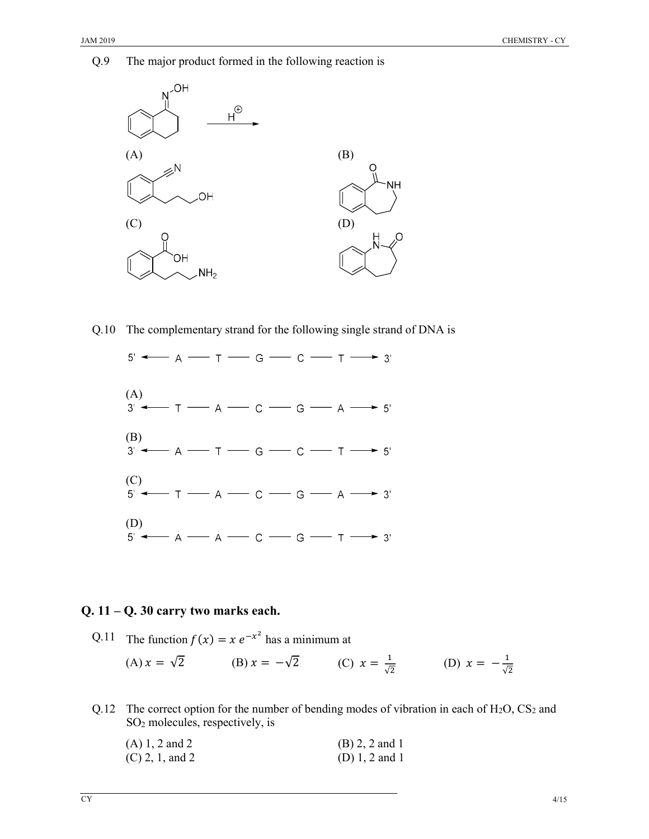Q.9 The major product formed in the following reaction is



Q.10 The complementary strand for the following single strand of DNA is



#### Q. 11 – Q. 30 carry two marks each.

Q.11 The function  $f(x) = x e^{-x^2}$  has a minimum at

(A) 
$$
x = \sqrt{2}
$$
 (B)  $x = -\sqrt{2}$  (C)  $x = \frac{1}{\sqrt{2}}$  (D)  $x = -\frac{1}{\sqrt{2}}$ 

Q.12 The correct option for the number of bending modes of vibration in each of  $H_2O$ ,  $CS_2$  and SO<sup>2</sup> molecules, respectively, is

| $(A) 1, 2$ and 2  | $(B) 2, 2$ and 1   |
|-------------------|--------------------|
| $(C)$ 2, 1, and 2 | (D) $1, 2$ and $1$ |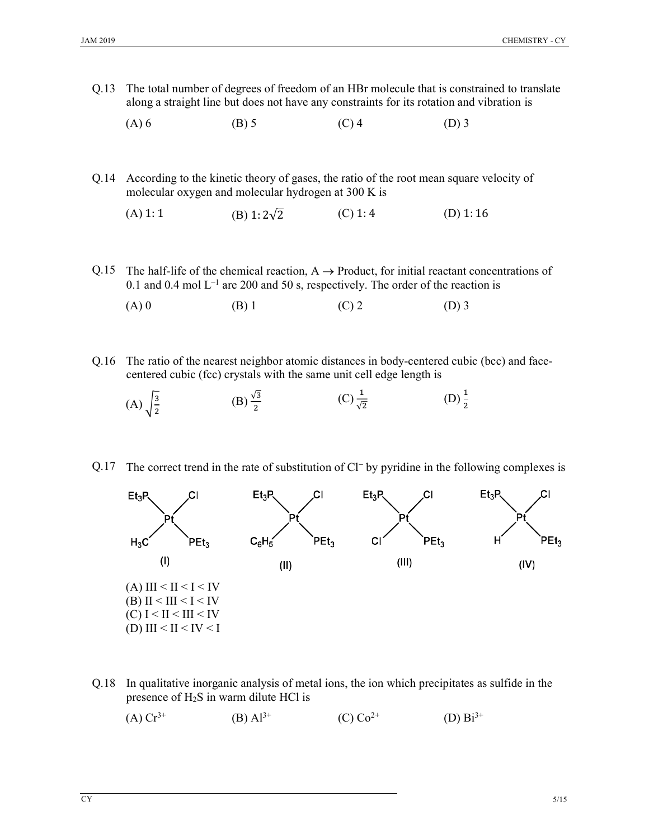- Q.13 The total number of degrees of freedom of an HBr molecule that is constrained to translate along a straight line but does not have any constraints for its rotation and vibration is
	- (A) 6 (B) 5 (C) 4 (D) 3
- Q.14 According to the kinetic theory of gases, the ratio of the root mean square velocity of molecular oxygen and molecular hydrogen at 300 K is
	- (A) 1: 1 (B)  $1: 2\sqrt{2}$  (C) 1: 4 (D) 1: 16
- Q.15 The half-life of the chemical reaction,  $A \rightarrow$  Product, for initial reactant concentrations of 0.1 and 0.4 mol  $L^{-1}$  are 200 and 50 s, respectively. The order of the reaction is
	- (A) 0 (B) 1 (C) 2 (D) 3
- Q.16 The ratio of the nearest neighbor atomic distances in body-centered cubic (bcc) and facecentered cubic (fcc) crystals with the same unit cell edge length is
	- $(A) \frac{3}{5}$ ଶ  $(B) \frac{\sqrt{3}}{2}$  $(C) \frac{1}{\sqrt{2}}$ (D)  $\frac{1}{2}$
- Q.17 The correct trend in the rate of substitution of Cl<sup>-</sup> by pyridine in the following complexes is



Q.18 In qualitative inorganic analysis of metal ions, the ion which precipitates as sulfide in the presence of H2S in warm dilute HCl is

(A) 
$$
Cr^{3+}
$$
 (B)  $Al^{3+}$  (C)  $Co^{2+}$  (D)  $Bi^{3+}$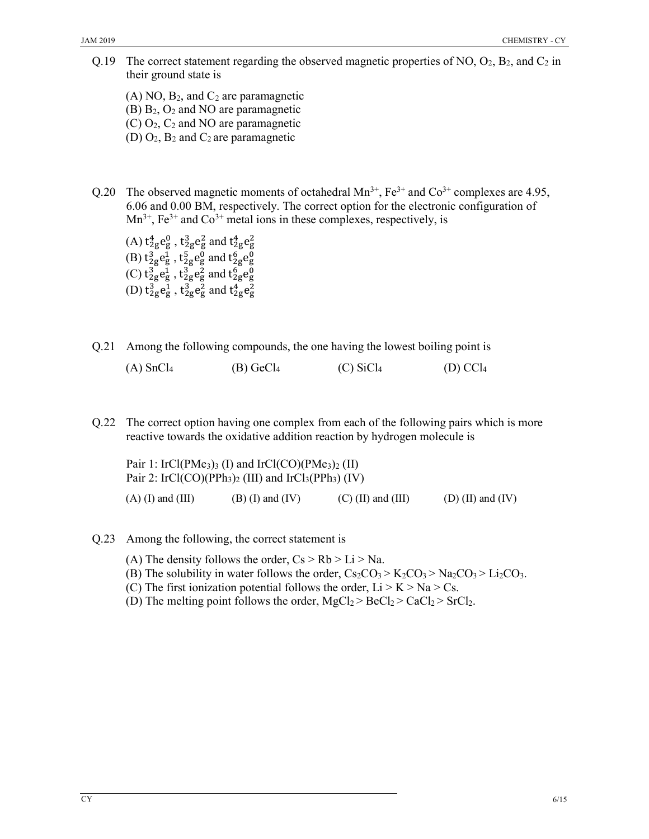- Q.19 The correct statement regarding the observed magnetic properties of NO,  $O_2$ ,  $B_2$ , and  $C_2$  in their ground state is
	- $(A)$  NO,  $B_2$ , and  $C_2$  are paramagnetic
	- (B) B2, O<sup>2</sup> and NO are paramagnetic
	- $(C)$  O<sub>2</sub>,  $C_2$  and NO are paramagnetic
	- (D)  $O_2$ ,  $B_2$  and  $C_2$  are paramagnetic
- Q.20 The observed magnetic moments of octahedral  $Mn^{3+}$ ,  $Fe^{3+}$  and  $Co^{3+}$  complexes are 4.95, 6.06 and 0.00 BM, respectively. The correct option for the electronic configuration of  $Mn^{3+}$ , Fe<sup>3+</sup> and Co<sup>3+</sup> metal ions in these complexes, respectively, is
	- (A)  $t_{2g}^4 e_g^0$ ,  $t_{2g}^3 e_g^2$  and  $t_{2g}^4 e_g^2$ (B)  $t_{2g}^3 e_g^1$ ,  $t_{2g}^5 e_g^0$  and  $t_{2g}^6 e_g^0$ (C)  $t_{2g}^3 e_g^1$  ,  $t_{2g}^3 e_g^2$  and  $t_{2g}^6 e_g^0$ (D)  $t_{2g}^3 e_g^1$ ,  $t_{2g}^3 e_g^2$  and  $t_{2g}^4 e_g^2$
- Q.21 Among the following compounds, the one having the lowest boiling point is

| $(A)$ SnCl <sub>4</sub> | $(B)$ GeCl <sub>4</sub> | $(C)$ SiCl <sub>4</sub> | $(D)$ CCl <sub>4</sub> |
|-------------------------|-------------------------|-------------------------|------------------------|
|                         |                         |                         |                        |

Q.22 The correct option having one complex from each of the following pairs which is more reactive towards the oxidative addition reaction by hydrogen molecule is

Pair 1: IrCl(PMe<sub>3</sub>)<sub>3</sub> (I) and IrCl(CO)(PMe<sub>3</sub>)<sub>2</sub> (II) Pair 2: IrCl(CO)(PPh<sub>3</sub>)<sub>2</sub> (III) and IrCl<sub>3</sub>(PPh<sub>3</sub>) (IV) (A) (I) and (III) (B) (I) and (IV) (C) (II) and (III) (D) (II) and (IV)

- Q.23 Among the following, the correct statement is
	- (A) The density follows the order,  $Cs > Rb > Li > Na$ .
	- (B) The solubility in water follows the order,  $Cs_2CO_3 > K_2CO_3 > Na_2CO_3 > Li_2CO_3$ .
	- (C) The first ionization potential follows the order,  $Li > K > Na > Cs$ .
	- (D) The melting point follows the order,  $MgCl_2 > BeCl_2 > CaCl_2 > SrCl_2$ .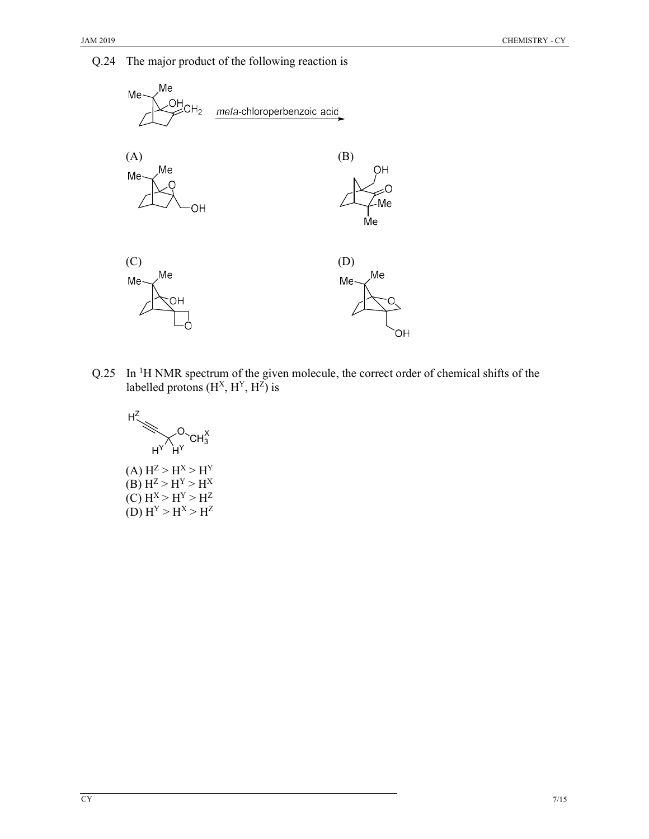



Q.25 In <sup>1</sup>H NMR spectrum of the given molecule, the correct order of chemical shifts of the labelled protons  $(H<sup>X</sup>, H<sup>Y</sup>, H<sup>Z</sup>)$  is



 $(A) H^Z > H^X > H^Y$ (B)  $H^Z > H^Y > H^X$  $(C) H^X > H^Y > H^Z$ (D)  $H^{Y} > H^{X} > H^{Z}$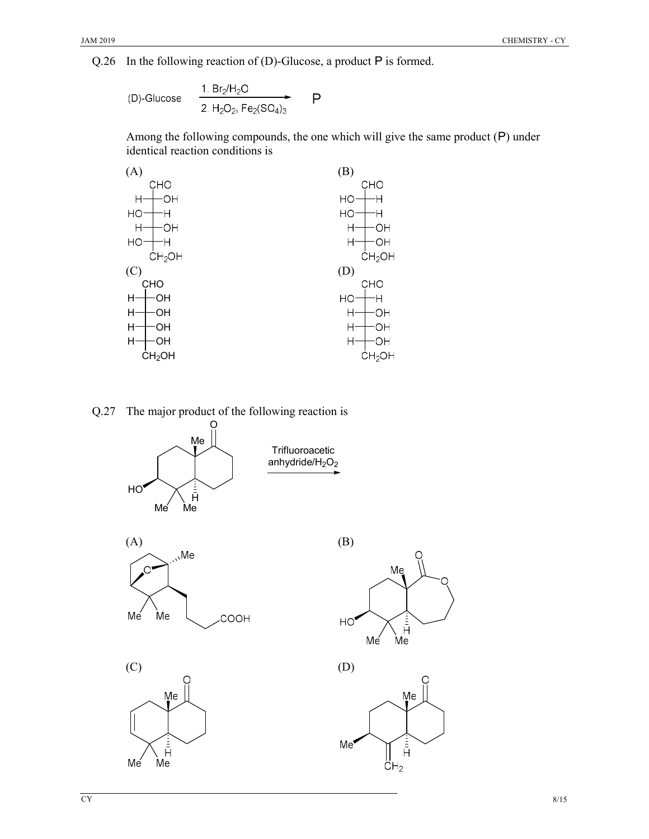Q.26 In the following reaction of (D)-Glucose, a product P is formed.

(D)-Glucose 
$$
\xrightarrow[2. H_2O_2, Fe_2(SO_4)_3]{1. Br_2H_2O}
$$
 P

Among the following compounds, the one which will give the same product (P) under identical reaction conditions is



Trifluoroacetic anhydride/ $H_2O_2$ 

Q.27 The major product of the following reaction is





C

Me

 $Me<sub>2</sub>$ 



 $(C)$  (D)



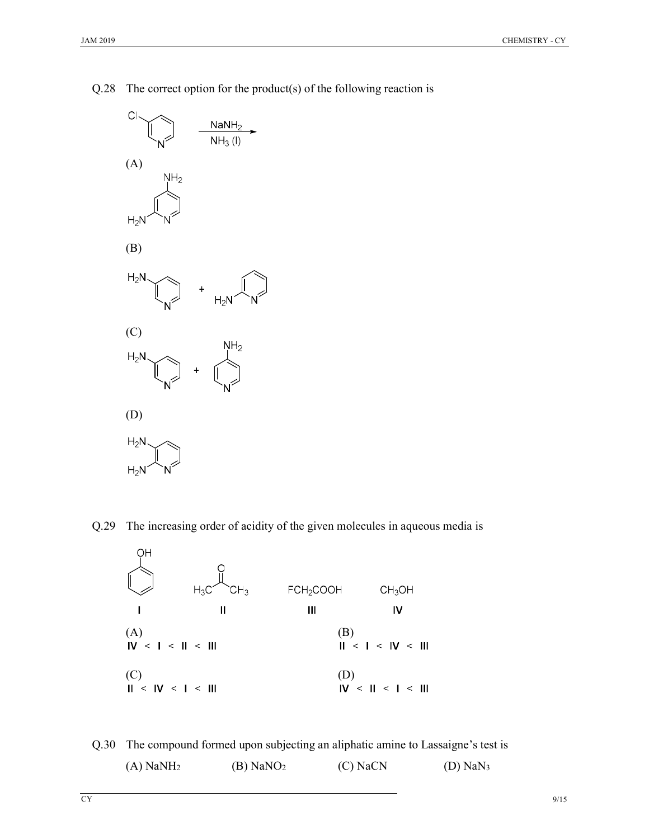

Q.28 The correct option for the product(s) of the following reaction is

Q.29 The increasing order of acidity of the given molecules in aqueous media is



Q.30 The compound formed upon subjecting an aliphatic amine to Lassaigne's test is (A) NaNH<sub>2</sub> (B) NaNO<sub>2</sub> (C) NaCN (D) NaN<sub>3</sub>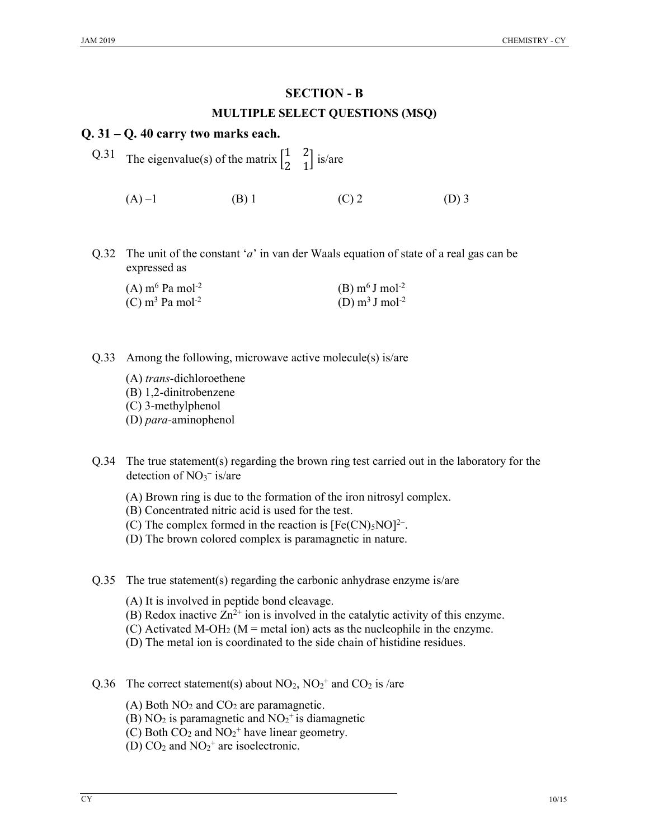# SECTION - B MULTIPLE SELECT QUESTIONS (MSQ)

### Q. 31 – Q. 40 carry two marks each.

- Q.31 The eigenvalue(s) of the matrix  $\begin{bmatrix} 1 & 2 \\ 2 & 4 \end{bmatrix}$  $\begin{bmatrix} 1 & 2 \\ 2 & 1 \end{bmatrix}$  is/are (A) –1 (B) 1 (C) 2 (D) 3
- Q.32 The unit of the constant 'a' in van der Waals equation of state of a real gas can be expressed as

| (A) $\mathrm{m}^6$ Pa mol <sup>-2</sup> | (B) $m6$ J mol <sup>-2</sup>  |
|-----------------------------------------|-------------------------------|
| (C) m <sup>3</sup> Pa mol <sup>-2</sup> | (D) $m^3 J$ mol <sup>-2</sup> |

- Q.33 Among the following, microwave active molecule(s) is/are
	- (A) trans-dichloroethene (B) 1,2-dinitrobenzene (C) 3-methylphenol
	- (D) para-aminophenol
- Q.34 The true statement(s) regarding the brown ring test carried out in the laboratory for the detection of NO<sub>3</sub><sup>-</sup> is/are
	- (A) Brown ring is due to the formation of the iron nitrosyl complex.
	- (B) Concentrated nitric acid is used for the test.
	- (C) The complex formed in the reaction is  $[Fe(CN)_5NO]^{2-}$ .
	- (D) The brown colored complex is paramagnetic in nature.
- Q.35 The true statement(s) regarding the carbonic anhydrase enzyme is/are
	- (A) It is involved in peptide bond cleavage.
	- (B) Redox inactive  $Zn^{2+}$  ion is involved in the catalytic activity of this enzyme.
	- (C) Activated M-OH<sub>2</sub> (M = metal ion) acts as the nucleophile in the enzyme.
	- (D) The metal ion is coordinated to the side chain of histidine residues.
- Q.36 The correct statement(s) about  $NO_2$ ,  $NO_2^+$  and  $CO_2$  is /are
	- (A) Both  $NO<sub>2</sub>$  and  $CO<sub>2</sub>$  are paramagnetic.
	- (B) NO<sub>2</sub> is paramagnetic and  $NO<sub>2</sub><sup>+</sup>$  is diamagnetic
	- (C) Both  $CO_2$  and  $NO_2$ <sup>+</sup> have linear geometry.
	- (D)  $CO<sub>2</sub>$  and  $NO<sub>2</sub><sup>+</sup>$  are isoelectronic.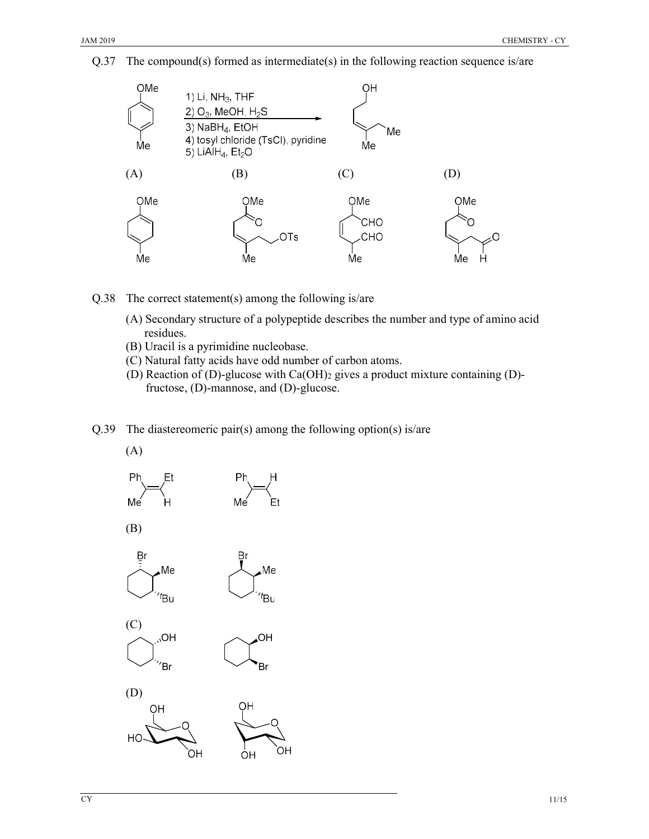



- Q.38 The correct statement(s) among the following is/are
	- (A) Secondary structure of a polypeptide describes the number and type of amino acid residues.
	- (B) Uracil is a pyrimidine nucleobase.
	- (C) Natural fatty acids have odd number of carbon atoms.
	- (D) Reaction of (D)-glucose with  $Ca(OH)_2$  gives a product mixture containing (D)fructose, (D)-mannose, and (D)-glucose.

**Br Br Br Br** 

OH

Q.39 The diastereomeric pair(s) among the following option(s) is/are

Me

 $t_{\text{Bu}}$ 

(A)









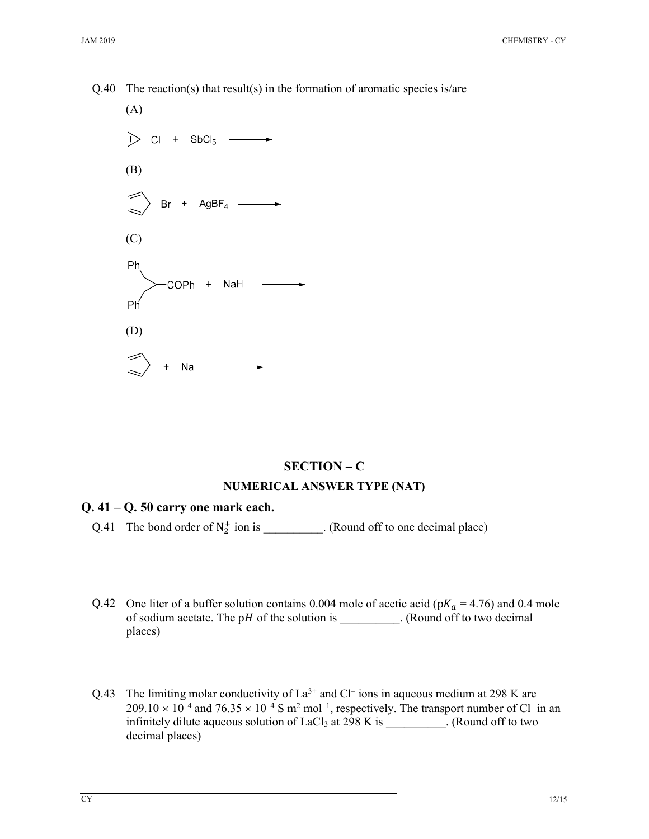

#### $Q.40$  The reaction(s) that result(s) in the formation of aromatic species is/are

# SECTION – C NUMERICAL ANSWER TYPE (NAT)

#### $Q. 41 - Q. 50$  carry one mark each.

- Q.41 The bond order of  $N_2^+$  ion is \_\_\_\_\_\_\_\_\_. (Round off to one decimal place)
- Q.42 One liter of a buffer solution contains 0.004 mole of acetic acid ( $pK_a = 4.76$ ) and 0.4 mole of sodium acetate. The pH of the solution is  $\qquad \qquad$  . (Round off to two decimal places)
- Q.43 The limiting molar conductivity of  $La^{3+}$  and Cl<sup>-</sup> ions in aqueous medium at 298 K are  $209.10 \times 10^{-4}$  and  $76.35 \times 10^{-4}$  S m<sup>2</sup> mol<sup>-1</sup>, respectively. The transport number of Cl<sup>-</sup> in an infinitely dilute aqueous solution of LaCl<sub>3</sub> at 298 K is \_\_\_\_\_\_\_\_\_. (Round off to two decimal places)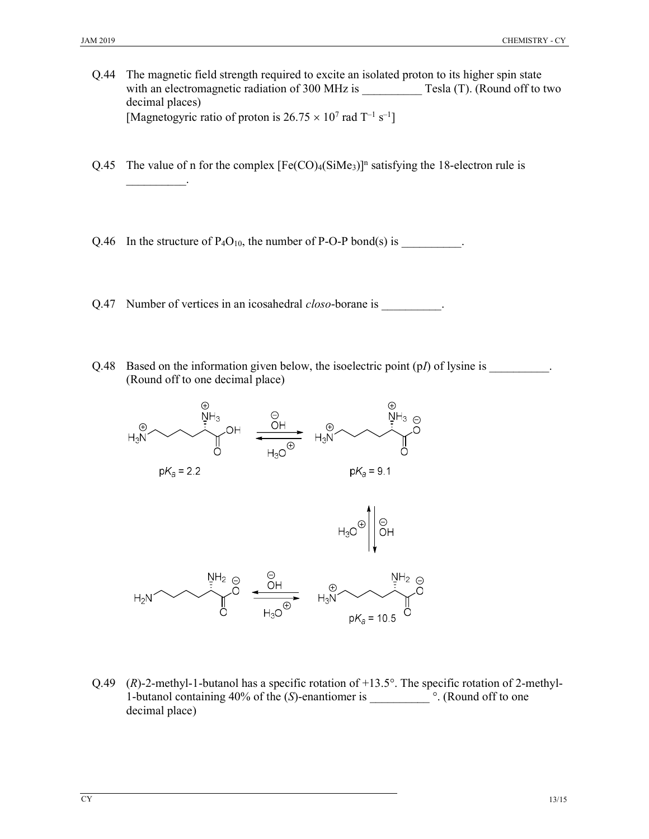- Q.44 The magnetic field strength required to excite an isolated proton to its higher spin state with an electromagnetic radiation of 300 MHz is Tesla (T). (Round off to two decimal places) [Magnetogyric ratio of proton is  $26.75 \times 10^7$  rad T<sup>-1</sup> s<sup>-1</sup>]
- Q.45 The value of n for the complex  $[Fe(CO)_4(SiMe_3)]^n$  satisfying the 18-electron rule is  $\mathcal{L}$
- Q.46 In the structure of  $P_4O_{10}$ , the number of P-O-P bond(s) is  $\qquad \qquad$
- Q.47 Number of vertices in an icosahedral *closo*-borane is .
- Q.48 Based on the information given below, the isoelectric point (pI) of lysine is \_\_\_\_\_\_\_\_\_. (Round off to one decimal place)



Q.49 (R)-2-methyl-1-butanol has a specific rotation of +13.5°. The specific rotation of 2-methyl-1-butanol containing 40% of the (S)-enantiomer is \_\_\_\_\_\_\_\_\_\_ °. (Round off to one decimal place)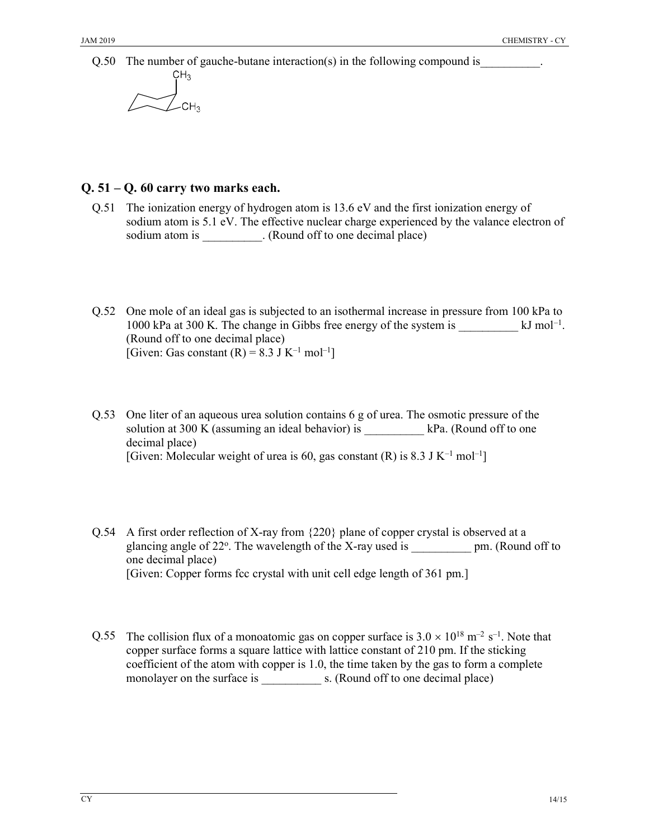Q.50 The number of gauche-butane interaction(s) in the following compound is  $CH<sub>2</sub>$ 

$$
\sqrt{\frac{1}{C}}CH_3
$$

### Q. 51 – Q. 60 carry two marks each.

- Q.51 The ionization energy of hydrogen atom is 13.6 eV and the first ionization energy of sodium atom is 5.1 eV. The effective nuclear charge experienced by the valance electron of sodium atom is \_\_\_\_\_\_\_\_\_\_. (Round off to one decimal place)
- Q.52 One mole of an ideal gas is subjected to an isothermal increase in pressure from 100 kPa to 1000 kPa at 300 K. The change in Gibbs free energy of the system is \_\_\_\_\_\_\_\_\_\_ kJ mol–1 . (Round off to one decimal place) [Given: Gas constant  $(R) = 8.3$  J K<sup>-1</sup> mol<sup>-1</sup>]
- Q.53 One liter of an aqueous urea solution contains 6 g of urea. The osmotic pressure of the solution at 300 K (assuming an ideal behavior) is  $\qquad \qquad$  kPa. (Round off to one decimal place) [Given: Molecular weight of urea is 60, gas constant (R) is 8.3 J K<sup>-1</sup> mol<sup>-1</sup>]
- Q.54 A first order reflection of X-ray from {220} plane of copper crystal is observed at a glancing angle of 22°. The wavelength of the X-ray used is \_\_\_\_\_\_\_\_\_\_\_ pm. (Round off to one decimal place) [Given: Copper forms fcc crystal with unit cell edge length of 361 pm.]
- Q.55 The collision flux of a monoatomic gas on copper surface is  $3.0 \times 10^{18}$  m<sup>-2</sup> s<sup>-1</sup>. Note that copper surface forms a square lattice with lattice constant of 210 pm. If the sticking coefficient of the atom with copper is 1.0, the time taken by the gas to form a complete monolayer on the surface is \_\_\_\_\_\_\_\_\_\_ s. (Round off to one decimal place)